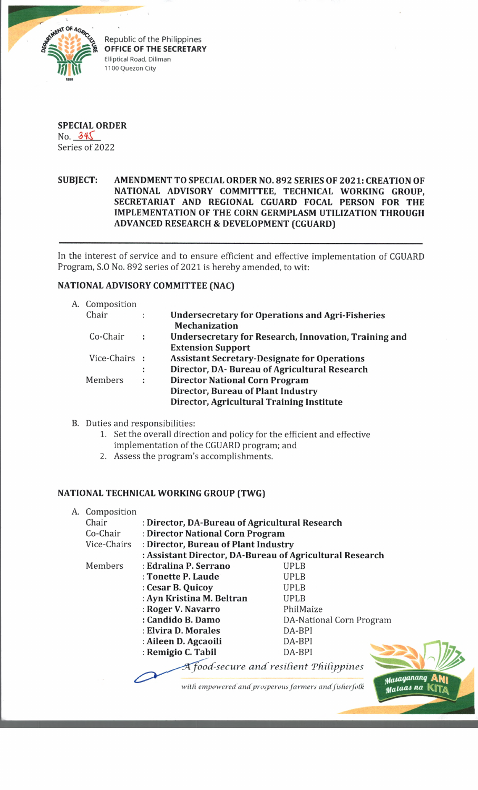

Republic of the Philippines **OFFICE OF THE SECRETARY** Elliptical Road, Diliman 1100 Quezon City



## **SUBJECT: AMENDMENT TO SPECIAL ORDER NO. 892 SERIES OF 2021: CREATION OF NATIONAL ADVISORY COMMITTEE, TECHNICAL WORKING GROUP, SECRETARIAT AND REGIONAL CGUARD FOCAL PERSON FOR THE IMPLEMENTATION OF THE CORN GERMPLASM UTILIZATION THROUGH ADVANCED RESEARCH & DEVELOPMENT (CGUARD)**

In the interest of service and to ensure efficient and effective implementation of CGUARD Program, S.O No. 892 series of 2021 is hereby amended, to wit:

## **NATIONAL ADVISORY COMMITTEE (NAC)**

| A. Composition |                      |                                                                                 |
|----------------|----------------------|---------------------------------------------------------------------------------|
| Chair          | $\ddot{\phantom{a}}$ | <b>Undersecretary for Operations and Agri-Fisheries</b><br><b>Mechanization</b> |
| Co-Chair       | ÷                    | Undersecretary for Research, Innovation, Training and                           |
|                |                      | <b>Extension Support</b>                                                        |
| Vice-Chairs :  |                      | <b>Assistant Secretary-Designate for Operations</b>                             |
|                | ÷                    | Director, DA- Bureau of Agricultural Research                                   |
| Members        | ÷                    | <b>Director National Corn Program</b>                                           |
|                |                      | Director, Bureau of Plant Industry                                              |
|                |                      | Director, Agricultural Training Institute                                       |

- B. Duties and responsibilities:
	- 1. Set the overall direction and policy for the efficient and effective
	- implementation of the CGUARD program; and
	- 2. Assess the program's accomplishments.

### **NATIONAL TECHNICAL WORKING GROUP (TWG)**

| A.                                                   | Composition |                                                |                                                          |  |  |  |
|------------------------------------------------------|-------------|------------------------------------------------|----------------------------------------------------------|--|--|--|
|                                                      | Chair       | : Director, DA-Bureau of Agricultural Research |                                                          |  |  |  |
|                                                      | Co-Chair    | : Director National Corn Program               |                                                          |  |  |  |
|                                                      | Vice-Chairs | : Director, Bureau of Plant Industry           |                                                          |  |  |  |
|                                                      |             |                                                | : Assistant Director, DA-Bureau of Agricultural Research |  |  |  |
|                                                      | Members     | : Edralina P. Serrano                          | UPLB                                                     |  |  |  |
|                                                      |             | : Tonette P. Laude                             | UPLB                                                     |  |  |  |
|                                                      |             | : Cesar B. Quicoy                              | UPLB                                                     |  |  |  |
|                                                      |             | : Ayn Kristina M. Beltran                      | <b>UPLB</b>                                              |  |  |  |
|                                                      |             | : Roger V. Navarro                             | PhilMaize                                                |  |  |  |
|                                                      |             | : Candido B. Damo                              | DA-National Corn Program                                 |  |  |  |
|                                                      |             | : Elvira D. Morales                            | DA-BPI                                                   |  |  |  |
|                                                      |             | : Aileen D. Agcaoili                           | DA-BPI                                                   |  |  |  |
|                                                      |             | : Remigio C. Tabil                             | DA-BPI                                                   |  |  |  |
|                                                      |             |                                                | food-secure and resilient Philippines<br>stasa           |  |  |  |
| with empowered and prosperous farmers and fisherfolk |             |                                                |                                                          |  |  |  |

*tfaAaQanatui* ani

*na* **KTTa**

*d*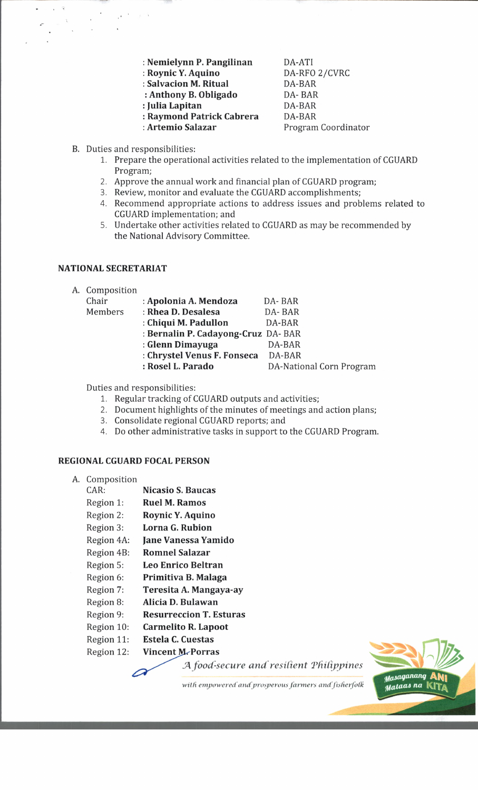**: Nemielynn P. Pangilinan : Roynic Y. Aquino : Salvacion M. Ritual : Anthony B. Obligado : Julia Lapitan : Raymond Patrick Cabrera**

**: Artemio Salazar**

DA-ATI DA-RFO 2/CVRC DA-BAR DA- BAR DA-BAR DA-BAR Program Coordinator

- B. Duties and responsibilities:
	- 1. Prepare the operational activities related to the implementation of CGUARD Program;
	- 2. Approve the annual work and financial plan of CGUARD program;
	- 3. Review, monitor and evaluate the CGUARD accomplishments;
	- 4. Recommend appropriate actions to address issues and problems related to CGUARD implementation; and
	- 5. Undertake other activities related to CGUARD as may be recommended by the National Advisory Committee.

## **NATIONAL SECRETARIAT**

A. Composition

| Chair   | : Apolonia A. Mendoza               | DA-BAR                   |
|---------|-------------------------------------|--------------------------|
| Members | : Rhea D. Desalesa                  | DA-BAR                   |
|         | : Chiqui M. Padullon                | DA-BAR                   |
|         | : Bernalin P. Cadayong-Cruz DA- BAR |                          |
|         | : Glenn Dimayuga                    | DA-BAR                   |
|         | : Chrystel Venus F. Fonseca         | DA-BAR                   |
|         | : Rosel L. Parado                   | DA-National Corn Program |
|         |                                     |                          |

Duties and responsibilities:

1. Regular tracking of CGUARD outputs and activities;

2. Document highlights of the minutes of meetings and action plans;

- 3. Consolidate regional CGUARD reports; and
- 4. Do other administrative tasks in support to the CGUARD Program.

### **REGIONAL CGUARD FOCAL PERSON**

A. Composition CAR: **Nicasio S. Baucas** Region 1: **Ruel M. Ramos** Region 2: **Roynic Y. Aquino** Region 3: **Lorna G. Rubion** Region 4A: **Jane Vanessa Yamido** Region 4B: **Romnel Salazar** Region 5: **Leo Enrico Beltran** Region 6: **Primitiva B. Malaga** Region 7: **Teresita A. Mangaya-ay** Region 8: **Alicia D. Bulawan** Region 9: **Resurreccion T. Esturas** Region 10: **Carmelito R. Lapoot** Region 11: **Estela C. Cuestas** Region 12: **Vincent M. Porras** 

*JA food-secure and resilient 'Philippines*



with empowered and prosperous farmers and fisherfolk